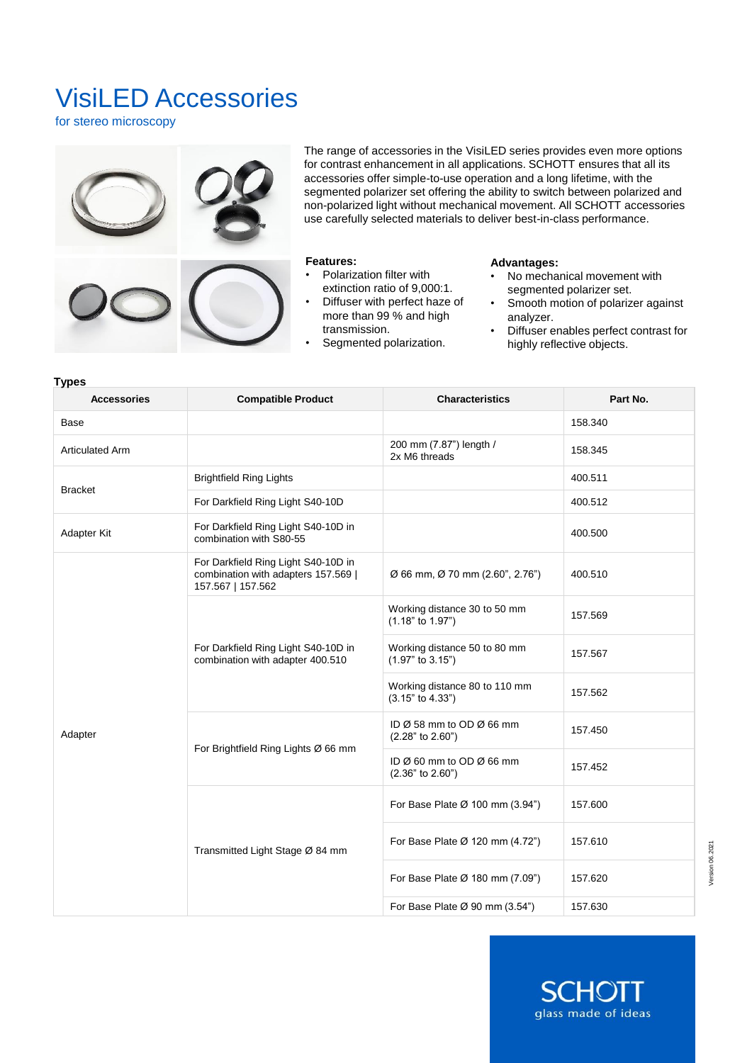# VisiLED Accessories

for stereo microscopy



The range of accessories in the VisiLED series provides even more options for contrast enhancement in all applications. SCHOTT ensures that all its accessories offer simple-to-use operation and a long lifetime, with the segmented polarizer set offering the ability to switch between polarized and non-polarized light without mechanical movement. All SCHOTT accessories use carefully selected materials to deliver best-in-class performance.

### **Features:**

- Polarization filter with extinction ratio of 9,000:1.
- Diffuser with perfect haze of more than 99 % and high transmission.
- Segmented polarization.

### **Advantages:**

- No mechanical movement with segmented polarizer set.
- Smooth motion of polarizer against analyzer.
- Diffuser enables perfect contrast for highly reflective objects.

**SCHO** 

glass made of ideas

Ш

| <b>Accessories</b>     | <b>Compatible Product</b>                                                                       | <b>Characteristics</b>                                  | Part No. |
|------------------------|-------------------------------------------------------------------------------------------------|---------------------------------------------------------|----------|
| Base                   |                                                                                                 |                                                         | 158.340  |
| <b>Articulated Arm</b> |                                                                                                 | 200 mm (7.87") length /<br>2x M6 threads                | 158.345  |
| <b>Bracket</b>         | <b>Brightfield Ring Lights</b>                                                                  |                                                         | 400.511  |
|                        | For Darkfield Ring Light S40-10D                                                                |                                                         | 400.512  |
| Adapter Kit            | For Darkfield Ring Light S40-10D in<br>combination with S80-55                                  |                                                         | 400.500  |
| Adapter                | For Darkfield Ring Light S40-10D in<br>combination with adapters 157.569  <br>157.567   157.562 | $\varnothing$ 66 mm, $\varnothing$ 70 mm (2.60", 2.76") | 400.510  |
|                        | For Darkfield Ring Light S40-10D in<br>combination with adapter 400.510                         | Working distance 30 to 50 mm<br>$(1.18"$ to $1.97")$    | 157.569  |
|                        |                                                                                                 | Working distance 50 to 80 mm<br>$(1.97"$ to $3.15")$    | 157.567  |
|                        |                                                                                                 | Working distance 80 to 110 mm<br>(3.15" to 4.33")       | 157.562  |
|                        | For Brightfield Ring Lights Ø 66 mm                                                             | ID Ø 58 mm to OD Ø 66 mm<br>$(2.28"$ to $2.60")$        | 157.450  |
|                        |                                                                                                 | ID Ø 60 mm to OD Ø 66 mm<br>(2.36" to 2.60")            | 157.452  |
|                        | Transmitted Light Stage Ø 84 mm                                                                 | For Base Plate Ø 100 mm (3.94")                         | 157.600  |
|                        |                                                                                                 | For Base Plate Ø 120 mm (4.72")                         | 157.610  |
|                        |                                                                                                 | For Base Plate Ø 180 mm (7.09")                         | 157.620  |
|                        |                                                                                                 | For Base Plate $\varnothing$ 90 mm (3.54")              | 157.630  |

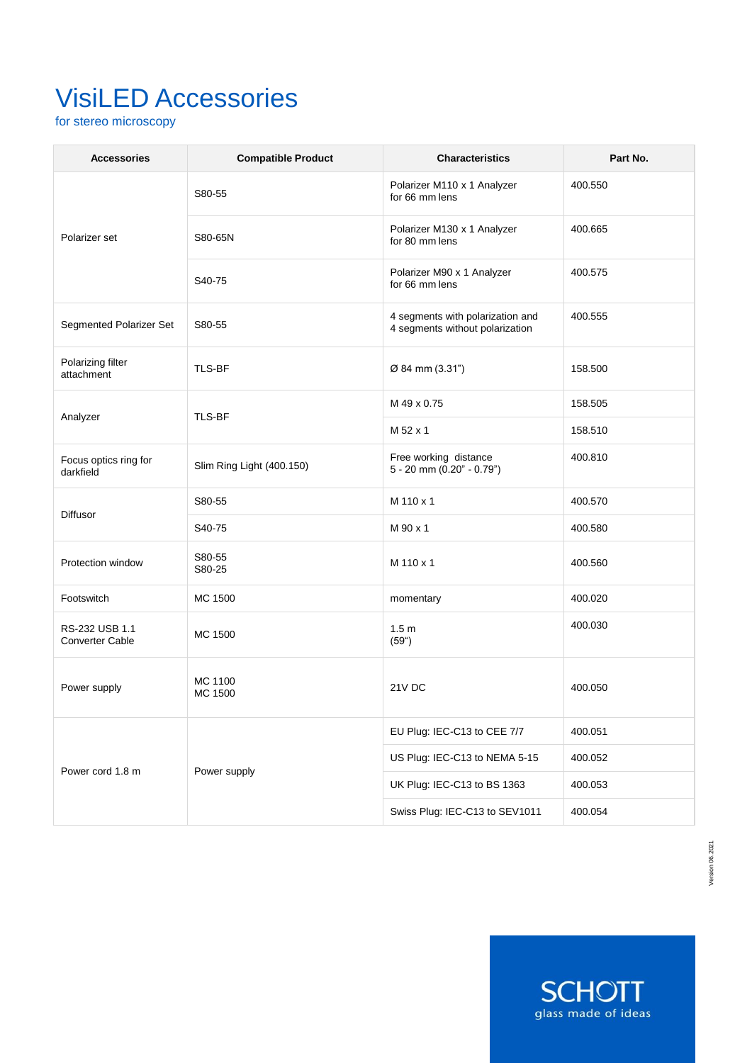# VisiLED Accessories

for stereo microscopy

| <b>Accessories</b>                       | <b>Compatible Product</b> | <b>Characteristics</b>                                              | Part No. |
|------------------------------------------|---------------------------|---------------------------------------------------------------------|----------|
| Polarizer set                            | S80-55                    | Polarizer M110 x 1 Analyzer<br>for 66 mm lens                       | 400.550  |
|                                          | S80-65N                   | Polarizer M130 x 1 Analyzer<br>for 80 mm lens                       | 400.665  |
|                                          | S40-75                    | Polarizer M90 x 1 Analyzer<br>for 66 mm lens                        | 400.575  |
| Segmented Polarizer Set                  | S80-55                    | 4 segments with polarization and<br>4 segments without polarization | 400.555  |
| Polarizing filter<br>attachment          | TLS-BF                    | Ø 84 mm (3.31")                                                     | 158.500  |
| Analyzer                                 | TLS-BF                    | M 49 x 0.75                                                         | 158.505  |
|                                          |                           | M 52 x 1                                                            | 158.510  |
| Focus optics ring for<br>darkfield       | Slim Ring Light (400.150) | Free working distance<br>$5 - 20$ mm $(0.20" - 0.79")$              | 400.810  |
|                                          | S80-55                    | M 110 x 1                                                           | 400.570  |
| <b>Diffusor</b>                          | S40-75                    | M 90 x 1                                                            | 400.580  |
| Protection window                        | S80-55<br>S80-25          | M 110 x 1                                                           | 400.560  |
| Footswitch                               | MC 1500                   | momentary                                                           | 400.020  |
| RS-232 USB 1.1<br><b>Converter Cable</b> | MC 1500                   | 1.5 <sub>m</sub><br>(59 <sup>°</sup> )                              | 400.030  |
| Power supply                             | MC 1100<br>MC 1500        | 21V DC                                                              | 400.050  |
| Power cord 1.8 m                         | Power supply              | EU Plug: IEC-C13 to CEE 7/7                                         | 400.051  |
|                                          |                           | US Plug: IEC-C13 to NEMA 5-15                                       | 400.052  |
|                                          |                           | UK Plug: IEC-C13 to BS 1363                                         | 400.053  |
|                                          |                           | Swiss Plug: IEC-C13 to SEV1011                                      | 400.054  |

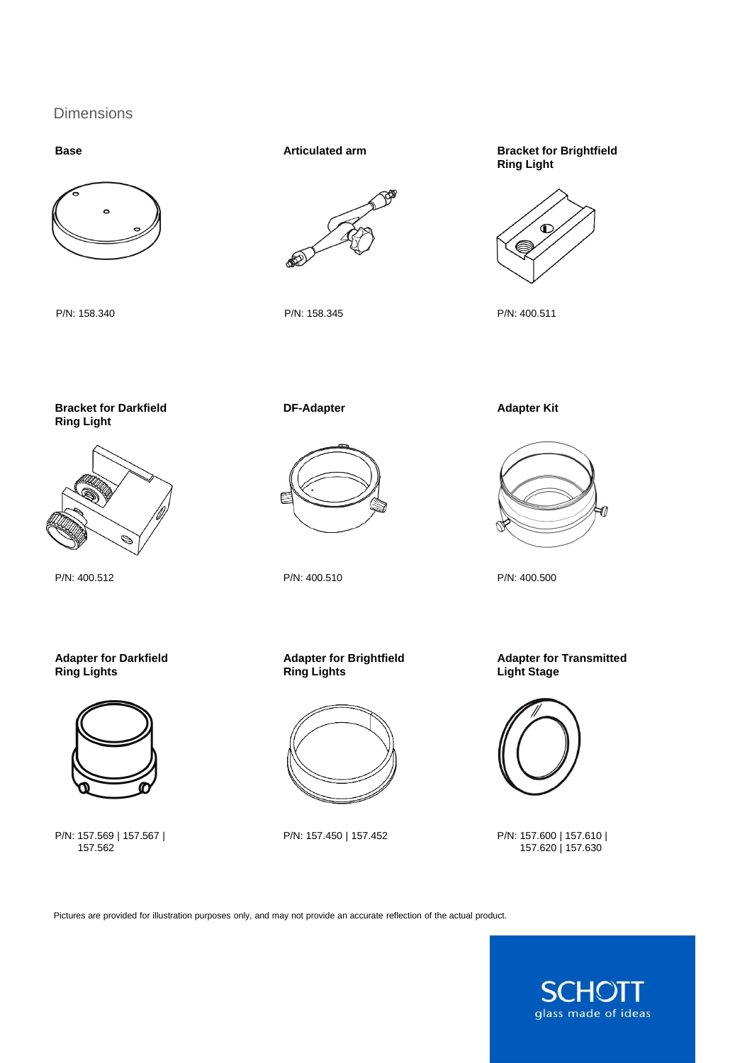# Dimensions



P/N: 158.340 P/N: 158.345



**Base Base Bracket for Brightfield Articulated arm Bracket for Brightfield Ring Light**



P/N: 400.511

**Bracket for Darkfield Ring Light**



P/N: 400.512

**Adapter for Darkfield Ring Lights**



P/N: 157.569 | 157.567 | 157.562

**DF-Adapter**



**Adapter for Brightfield**

P/N: 157.450 | 157.452

P/N: 400.510

**Ring Lights**

**Adapter Kit**



P/N: 400.500

**Adapter for Transmitted Light Stage**



P/N: 157.600 | 157.610 | 157.620 | 157.630

Pictures are provided for illustration purposes only, and may not provide an accurate reflection of the actual product.